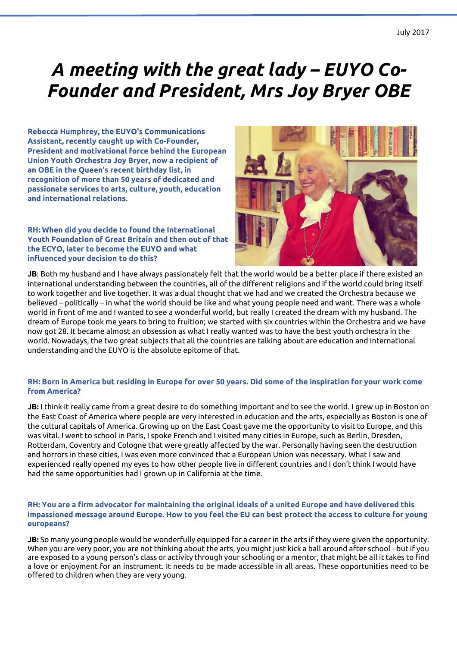# *A meeting with the great lady – EUYO Co-Founder and President, Mrs Joy Bryer OBE*

**Rebecca Humphrey, the EUYO's Communications Assistant, recently caught up with Co-Founder, President and motivational force behind the European Union Youth Orchestra Joy Bryer, now a recipient of an OBE in the Queen's recent birthday list, in recognition of more than 50 years of dedicated and passionate services to arts, culture, youth, education and international relations.** 

**RH: When did you decide to found the International Youth Foundation of Great Britain and then out of that the ECYO, later to become the EUYO and what influenced your decision to do this?** 



**JB**: Both my husband and I have always passionately felt that the world would be a better place if there existed an international understanding between the countries, all of the different religions and if the world could bring itself to work together and live together. It was a dual thought that we had and we created the Orchestra because we believed – politically – in what the world should be like and what young people need and want. There was a whole world in front of me and I wanted to see a wonderful world, but really I created the dream with my husband. The dream of Europe took me years to bring to fruition; we started with six countries within the Orchestra and we have now got 28. It became almost an obsession as what I really wanted was to have the best youth orchestra in the world. Nowadays, the two great subjects that all the countries are talking about are education and international understanding and the EUYO is the absolute epitome of that.

## **RH: Born in America but residing in Europe for over 50 years. Did some of the inspiration for your work come from America?**

**JB:** I think it really came from a great desire to do something important and to see the world. I grew up in Boston on the East Coast of America where people are very interested in education and the arts, especially as Boston is one of the cultural capitals of America. Growing up on the East Coast gave me the opportunity to visit to Europe, and this was vital. I went to school in Paris, I spoke French and I visited many cities in Europe, such as Berlin, Dresden, Rotterdam, Coventry and Cologne that were greatly affected by the war. Personally having seen the destruction and horrors in these cities, I was even more convinced that a European Union was necessary. What I saw and experienced really opened my eyes to how other people live in different countries and I don't think I would have had the same opportunities had I grown up in California at the time.

### **RH: You are a firm advocator for maintaining the original ideals of a united Europe and have delivered this impassioned message around Europe. How to you feel the EU can best protect the access to culture for young europeans?**

**JB:** So many young people would be wonderfully equipped for a career in the arts if they were given the opportunity. When you are very poor, you are not thinking about the arts, you might just kick a ball around after school - but if you are exposed to a young person's class or activity through your schooling or a mentor, that might be all it takes to find a love or enjoyment for an instrument. It needs to be made accessible in all areas. These opportunities need to be offered to children when they are very young.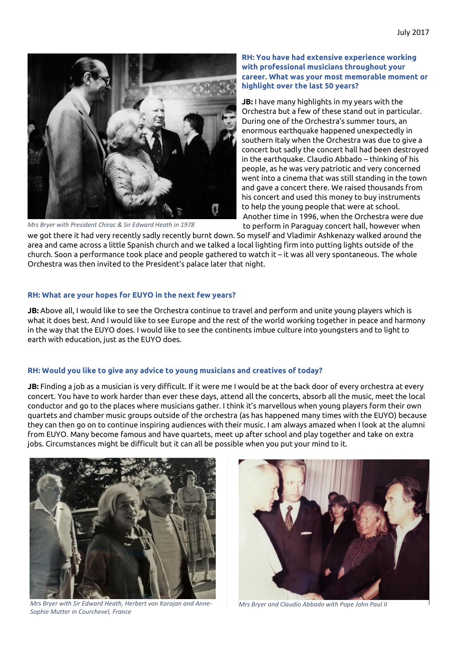

*Mrs Bryer with President Chirac & Sir Edward Heath in 1978*

#### **RH: You have had extensive experience working with professional musicians throughout your career. What was your most memorable moment or highlight over the last 50 years?**

**JB:** I have many highlights in my years with the Orchestra but a few of these stand out in particular. During one of the Orchestra's summer tours, an enormous earthquake happened unexpectedly in southern Italy when the Orchestra was due to give a concert but sadly the concert hall had been destroyed in the earthquake. Claudio Abbado – thinking of his people, as he was very patriotic and very concerned went into a cinema that was still standing in the town and gave a concert there. We raised thousands from his concert and used this money to buy instruments to help the young people that were at school. Another time in 1996, when the Orchestra were due to perform in Paraguay concert hall, however when

we got there it had very recently sadly recently burnt down. So myself and Vladimir Ashkenazy walked around the area and came across a little Spanish church and we talked a local lighting firm into putting lights outside of the church. Soon a performance took place and people gathered to watch it – it was all very spontaneous. The whole Orchestra was then invited to the President's palace later that night.

#### **RH: What are your hopes for EUYO in the next few years?**

**JB:** Above all, I would like to see the Orchestra continue to travel and perform and unite young players which is what it does best. And I would like to see Europe and the rest of the world working together in peace and harmony in the way that the EUYO does. I would like to see the continents imbue culture into youngsters and to light to earth with education, just as the EUYO does.

## **RH: Would you like to give any advice to young musicians and creatives of today?**

**JB:** Finding a job as a musician is very difficult. If it were me I would be at the back door of every orchestra at every concert. You have to work harder than ever these days, attend all the concerts, absorb all the music, meet the local conductor and go to the places where musicians gather. I think it's marvellous when young players form their own quartets and chamber music groups outside of the orchestra (as has happened many times with the EUYO) because they can then go on to continue inspiring audiences with their music. I am always amazed when I look at the alumni from EUYO. Many become famous and have quartets, meet up after school and play together and take on extra jobs. Circumstances might be difficult but it can all be possible when you put your mind to it.



*Mrs Bryer with Sir Edward Heath, Herbert von Karajan and Anne-Sophie Mutter in Courchevel, France*



*Mrs Bryer and Claudio Abbado with Pope John Paul II*